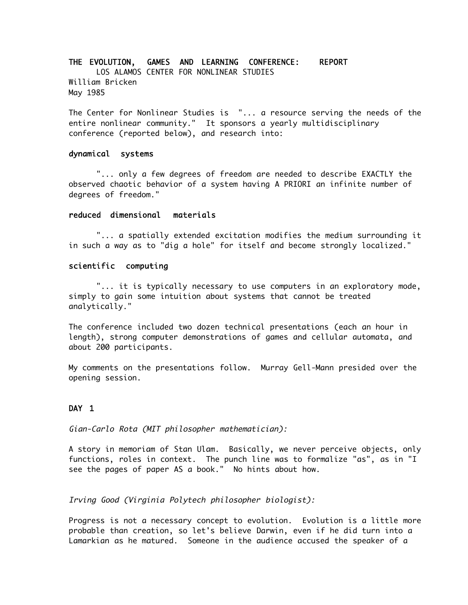# THE EVOLUTION, GAMES AND LEARNING CONFERENCE: REPORT LOS ALAMOS CENTER FOR NONLINEAR STUDIES William Bricken

The Center for Nonlinear Studies is "... a resource serving the needs of the entire nonlinear community." It sponsors a yearly multidisciplinary conference (reported below), and research into:

#### dynamical systems

May 1985

"... only a few degrees of freedom are needed to describe EXACTLY the observed chaotic behavior of a system having A PRIORI an infinite number of degrees of freedom."

## reduced dimensional materials

"... a spatially extended excitation modifies the medium surrounding it in such a way as to "dig a hole" for itself and become strongly localized."

### scientific computing

"... it is typically necessary to use computers in an exploratory mode, simply to gain some intuition about systems that cannot be treated analytically."

The conference included two dozen technical presentations (each an hour in length), strong computer demonstrations of games and cellular automata, and about 200 participants.

My comments on the presentations follow. Murray Gell-Mann presided over the opening session.

## DAY 1

Gian-Carlo Rota (MIT philosopher mathematician):

A story in memoriam of Stan Ulam. Basically, we never perceive objects, only functions, roles in context. The punch line was to formalize "as", as in "I see the pages of paper AS a book." No hints about how.

Irving Good (Virginia Polytech philosopher biologist):

Progress is not a necessary concept to evolution. Evolution is a little more probable than creation, so let's believe Darwin, even if he did turn into a Lamarkian as he matured. Someone in the audience accused the speaker of a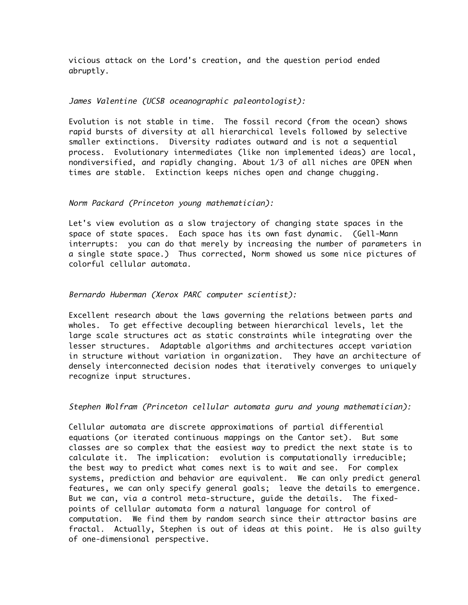vicious attack on the Lord's creation, and the question period ended abruptly.

## James Valentine (UCSB oceanographic paleontologist):

Evolution is not stable in time. The fossil record (from the ocean) shows rapid bursts of diversity at all hierarchical levels followed by selective smaller extinctions. Diversity radiates outward and is not a sequential process. Evolutionary intermediates (like non implemented ideas) are local, nondiversified, and rapidly changing. About 1/3 of all niches are OPEN when times are stable. Extinction keeps niches open and change chugging.

#### Norm Packard (Princeton young mathematician):

Let's view evolution as a slow trajectory of changing state spaces in the space of state spaces. Each space has its own fast dynamic. (Gell-Mann interrupts: you can do that merely by increasing the number of parameters in a single state space.) Thus corrected, Norm showed us some nice pictures of colorful cellular automata.

## Bernardo Huberman (Xerox PARC computer scientist):

Excellent research about the laws governing the relations between parts and wholes. To get effective decoupling between hierarchical levels, let the large scale structures act as static constraints while integrating over the lesser structures. Adaptable algorithms and architectures accept variation in structure without variation in organization. They have an architecture of densely interconnected decision nodes that iteratively converges to uniquely recognize input structures.

Stephen Wolfram (Princeton cellular automata guru and young mathematician):

Cellular automata are discrete approximations of partial differential equations (or iterated continuous mappings on the Cantor set). But some classes are so complex that the easiest way to predict the next state is to calculate it. The implication: evolution is computationally irreducible; the best way to predict what comes next is to wait and see. For complex systems, prediction and behavior are equivalent. We can only predict general features, we can only specify general goals; leave the details to emergence. But we can, via a control meta-structure, guide the details. The fixedpoints of cellular automata form a natural language for control of computation. We find them by random search since their attractor basins are fractal. Actually, Stephen is out of ideas at this point. He is also guilty of one-dimensional perspective.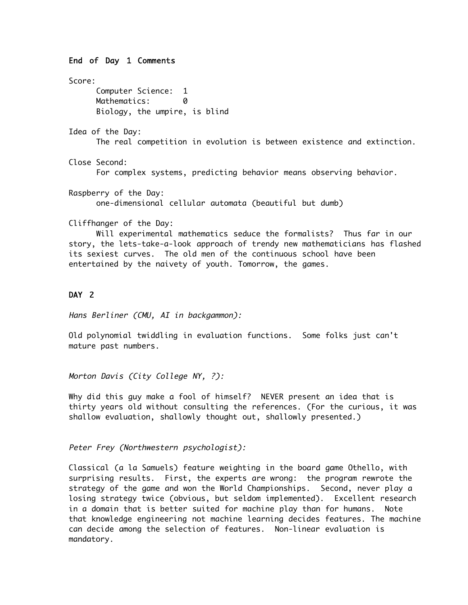# End of Day 1 Comments Score: Computer Science: 1 Mathematics: 0 Biology, the umpire, is blind Idea of the Day: The real competition in evolution is between existence and extinction. Close Second: For complex systems, predicting behavior means observing behavior. Raspberry of the Day: one-dimensional cellular automata (beautiful but dumb) Cliffhanger of the Day: Will experimental mathematics seduce the formalists? Thus far in our story, the lets-take-a-look approach of trendy new mathematicians has flashed

# DAY<sub>2</sub>

Hans Berliner (CMU, AI in backgammon):

Old polynomial twiddling in evaluation functions. Some folks just can't mature past numbers.

its sexiest curves. The old men of the continuous school have been

entertained by the naivety of youth. Tomorrow, the games.

Morton Davis (City College NY, ?):

Why did this guy make a fool of himself? NEVER present an idea that is thirty years old without consulting the references. (For the curious, it was shallow evaluation, shallowly thought out, shallowly presented.)

Peter Frey (Northwestern psychologist):

Classical (a la Samuels) feature weighting in the board game Othello, with surprising results. First, the experts are wrong: the program rewrote the strategy of the game and won the World Championships. Second, never play a losing strategy twice (obvious, but seldom implemented). Excellent research in a domain that is better suited for machine play than for humans. Note that knowledge engineering not machine learning decides features. The machine can decide among the selection of features. Non-linear evaluation is mandatory.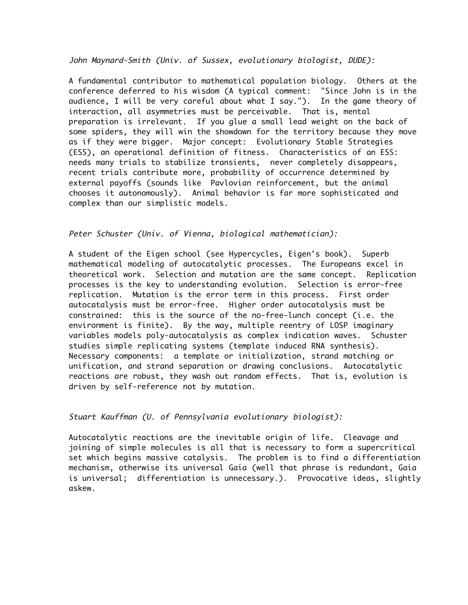John Maynard-Smith (Univ. of Sussex, evolutionary biologist, DUDE):

A fundamental contributor to mathematical population biology. Others at the conference deferred to his wisdom (A typical comment: "Since John is in the audience, I will be very careful about what I say."). In the game theory of interaction, all asymmetries must be perceivable. That is, mental preparation is irrelevant. If you glue a small lead weight on the back of some spiders, they will win the showdown for the territory because they move as if they were bigger. Major concept: Evolutionary Stable Strategies (ESS), an operational definition of fitness. Characteristics of an ESS: needs many trials to stabilize transients, never completely disappears, recent trials contribute more, probability of occurrence determined by external payoffs (sounds like Pavlovian reinforcement, but the animal chooses it autonomously). Animal behavior is far more sophisticated and complex than our simplistic models.

# Peter Schuster (Univ. of Vienna, biological mathematician):

A student of the Eigen school (see Hypercycles, Eigen's book). Superb mathematical modeling of autocatalytic processes. The Europeans excel in theoretical work. Selection and mutation are the same concept. Replication processes is the key to understanding evolution. Selection is error-free replication. Mutation is the error term in this process. First order autocatalysis must be error-free. Higher order autocatalysis must be constrained: this is the source of the no-free-lunch concept (i.e. the environment is finite). By the way, multiple reentry of LOSP imaginary variables models poly-autocatalysis as complex indication waves. Schuster studies simple replicating systems (template induced RNA synthesis). Necessary components: a template or initialization, strand matching or unification, and strand separation or drawing conclusions. Autocatalytic reactions are robust, they wash out random effects. That is, evolution is driven by self-reference not by mutation.

## Stuart Kauffman (U. of Pennsylvania evolutionary biologist):

Autocatalytic reactions are the inevitable origin of life. Cleavage and joining of simple molecules is all that is necessary to form a supercritical set which begins massive catalysis. The problem is to find a differentiation mechanism, otherwise its universal Gaia (well that phrase is redundant, Gaia is universal; differentiation is unnecessary.). Provocative ideas, slightly askew.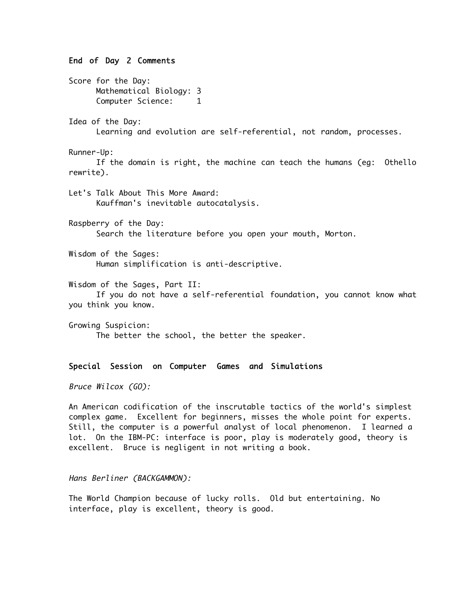#### End of Day 2 Comments

Score for the Day: Mathematical Biology: 3 Computer Science: 1 Idea of the Day: Learning and evolution are self-referential, not random, processes. Runner-Up: If the domain is right, the machine can teach the humans (eg: Othello rewrite). Let's Talk About This More Award: Kauffman's inevitable autocatalysis. Raspberry of the Day: Search the literature before you open your mouth, Morton. Wisdom of the Sages: Human simplification is anti-descriptive. Wisdom of the Sages, Part II: If you do not have a self-referential foundation, you cannot know what you think you know. Growing Suspicion: The better the school, the better the speaker. Special Session on Computer Games and Simulations

Bruce Wilcox (GO):

An American codification of the inscrutable tactics of the world's simplest complex game. Excellent for beginners, misses the whole point for experts. Still, the computer is a powerful analyst of local phenomenon. I learned a lot. On the IBM-PC: interface is poor, play is moderately good, theory is excellent. Bruce is negligent in not writing a book.

Hans Berliner (BACKGAMMON):

The World Champion because of lucky rolls. Old but entertaining. No interface, play is excellent, theory is good.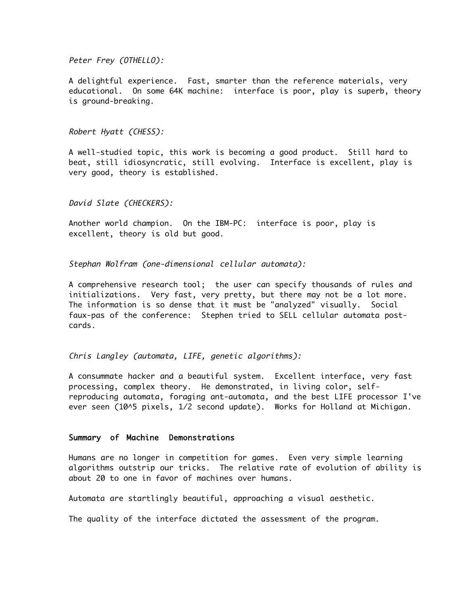#### Peter Frey (OTHELLO):

A delightful experience. Fast, smarter than the reference materials, very educational. On some 64K machine: interface is poor, play is superb, theory is ground-breaking.

#### Robert Hyatt (CHESS):

A well-studied topic, this work is becoming a good product. Still hard to beat, still idiosyncratic, still evolving. Interface is excellent, play is very good, theory is established.

#### David Slate (CHECKERS):

Another world champion. On the IBM-PC: interface is poor, play is excellent, theory is old but good.

Stephan Wolfram (one-dimensional cellular automata):

A comprehensive research tool; the user can specify thousands of rules and initializations. Very fast, very pretty, but there may not be a lot more. The information is so dense that it must be "analyzed" visually. Social faux-pas of the conference: Stephen tried to SELL cellular automata postcards.

#### Chris Langley (automata, LIFE, genetic algorithms):

A consummate hacker and a beautiful system. Excellent interface, very fast processing, complex theory. He demonstrated, in living color, selfreproducing automata, foraging ant-automata, and the best LIFE processor I've ever seen (10^5 pixels, 1/2 second update). Works for Holland at Michigan.

#### Summary of Machine Demonstrations

Humans are no longer in competition for games. Even very simple learning algorithms outstrip our tricks. The relative rate of evolution of ability is about 20 to one in favor of machines over humans.

Automata are startlingly beautiful, approaching a visual aesthetic.

The quality of the interface dictated the assessment of the program.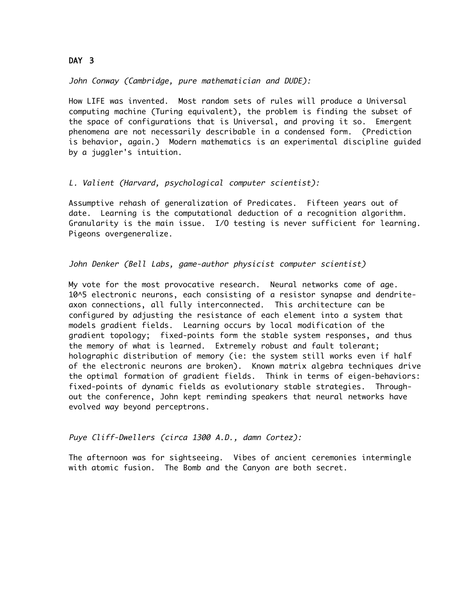# DAY 3

John Conway (Cambridge, pure mathematician and DUDE):

How LIFE was invented. Most random sets of rules will produce a Universal computing machine (Turing equivalent), the problem is finding the subset of the space of configurations that is Universal, and proving it so. Emergent phenomena are not necessarily describable in a condensed form. (Prediction is behavior, again.) Modern mathematics is an experimental discipline guided by a juggler's intuition.

## L. Valient (Harvard, psychological computer scientist):

Assumptive rehash of generalization of Predicates. Fifteen years out of date. Learning is the computational deduction of a recognition algorithm. Granularity is the main issue. I/O testing is never sufficient for learning. Pigeons overgeneralize.

## John Denker (Bell Labs, game-author physicist computer scientist)

My vote for the most provocative research. Neural networks come of age. 10^5 electronic neurons, each consisting of a resistor synapse and dendriteaxon connections, all fully interconnected. This architecture can be configured by adjusting the resistance of each element into a system that models gradient fields. Learning occurs by local modification of the gradient topology; fixed-points form the stable system responses, and thus the memory of what is learned. Extremely robust and fault tolerant; holographic distribution of memory (ie: the system still works even if half of the electronic neurons are broken). Known matrix algebra techniques drive the optimal formation of gradient fields. Think in terms of eigen-behaviors: fixed-points of dynamic fields as evolutionary stable strategies. Throughout the conference, John kept reminding speakers that neural networks have evolved way beyond perceptrons.

Puye Cliff-Dwellers (circa 1300 A.D., damn Cortez):

The afternoon was for sightseeing. Vibes of ancient ceremonies intermingle with atomic fusion. The Bomb and the Canyon are both secret.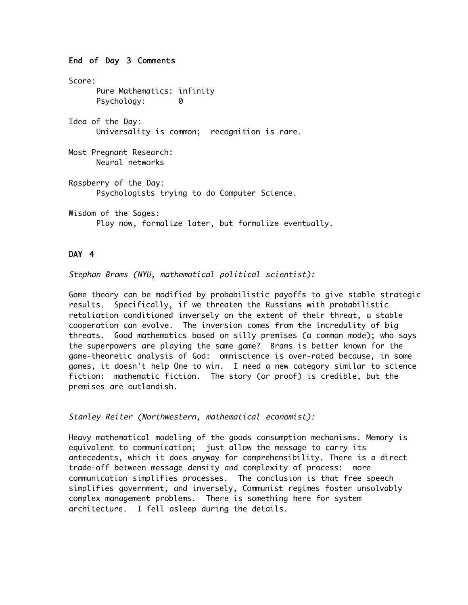## End of Day 3 Comments

Score: Pure Mathematics: infinity Psychology: 0 Idea of the Day: Universality is common; recognition is rare. Most Pregnant Research: Neural networks Raspberry of the Day: Psychologists trying to do Computer Science. Wisdom of the Sages: Play now, formalize later, but formalize eventually.

# DAY 4

Stephan Brams (NYU, mathematical political scientist):

Game theory can be modified by probabilistic payoffs to give stable strategic results. Specifically, if we threaten the Russians with probabilistic retaliation conditioned inversely on the extent of their threat, a stable cooperation can evolve. The inversion comes from the incredulity of big threats. Good mathematics based on silly premises (a common mode); who says the superpowers are playing the same game? Brams is better known for the game-theoretic analysis of God: omniscience is over-rated because, in some games, it doesn't help One to win. I need a new category similar to science fiction: mathematic fiction. The story (or proof) is credible, but the premises are outlandish.

Stanley Reiter (Northwestern, mathematical economist):

Heavy mathematical modeling of the goods consumption mechanisms. Memory is equivalent to communication; just allow the message to carry its antecedents, which it does anyway for comprehensibility. There is a direct trade-off between message density and complexity of process: more communication simplifies processes. The conclusion is that free speech simplifies government, and inversely, Communist regimes foster unsolvably complex management problems. There is something here for system architecture. I fell asleep during the details.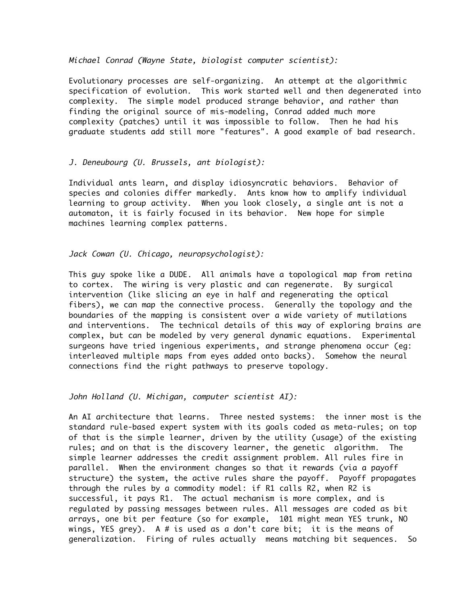#### Michael Conrad (Wayne State, biologist computer scientist):

Evolutionary processes are self-organizing. An attempt at the algorithmic specification of evolution. This work started well and then degenerated into complexity. The simple model produced strange behavior, and rather than finding the original source of mis-modeling, Conrad added much more complexity (patches) until it was impossible to follow. Then he had his graduate students add still more "features". A good example of bad research.

# J. Deneubourg (U. Brussels, ant biologist):

Individual ants learn, and display idiosyncratic behaviors. Behavior of species and colonies differ markedly. Ants know how to amplify individual learning to group activity. When you look closely, a single ant is not a automaton, it is fairly focused in its behavior. New hope for simple machines learning complex patterns.

## Jack Cowan (U. Chicago, neuropsychologist):

This guy spoke like a DUDE. All animals have a topological map from retina to cortex. The wiring is very plastic and can regenerate. By surgical intervention (like slicing an eye in half and regenerating the optical fibers), we can map the connective process. Generally the topology and the boundaries of the mapping is consistent over a wide variety of mutilations and interventions. The technical details of this way of exploring brains are complex, but can be modeled by very general dynamic equations. Experimental surgeons have tried ingenious experiments, and strange phenomena occur (eg: interleaved multiple maps from eyes added onto backs). Somehow the neural connections find the right pathways to preserve topology.

John Holland (U. Michigan, computer scientist AI):

An AI architecture that learns. Three nested systems: the inner most is the standard rule-based expert system with its goals coded as meta-rules; on top of that is the simple learner, driven by the utility (usage) of the existing rules; and on that is the discovery learner, the genetic algorithm. The simple learner addresses the credit assignment problem. All rules fire in parallel. When the environment changes so that it rewards (via a payoff structure) the system, the active rules share the payoff. Payoff propagates through the rules by a commodity model: if R1 calls R2, when R2 is successful, it pays R1. The actual mechanism is more complex, and is regulated by passing messages between rules. All messages are coded as bit arrays, one bit per feature (so for example, 101 might mean YES trunk, NO wings, YES grey). A # is used as a don't care bit; it is the means of generalization. Firing of rules actually means matching bit sequences. So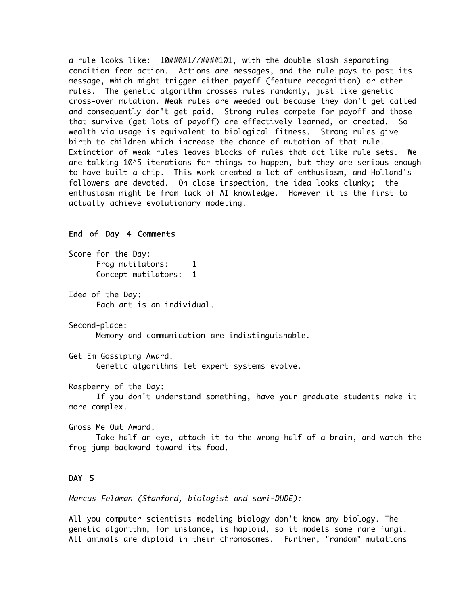a rule looks like: 10##0#1//####101, with the double slash separating condition from action. Actions are messages, and the rule pays to post its message, which might trigger either payoff (feature recognition) or other rules. The genetic algorithm crosses rules randomly, just like genetic cross-over mutation. Weak rules are weeded out because they don't get called and consequently don't get paid. Strong rules compete for payoff and those that survive (get lots of payoff) are effectively learned, or created. So wealth via usage is equivalent to biological fitness. Strong rules give birth to children which increase the chance of mutation of that rule. Extinction of weak rules leaves blocks of rules that act like rule sets. We are talking 10^5 iterations for things to happen, but they are serious enough to have built a chip. This work created a lot of enthusiasm, and Holland's followers are devoted. On close inspection, the idea looks clunky; the enthusiasm might be from lack of AI knowledge. However it is the first to actually achieve evolutionary modeling.

## End of Day 4 Comments

Score for the Day: Frog mutilators: 1 Concept mutilators: 1 Idea of the Day: Each ant is an individual. Second-place: Memory and communication are indistinguishable. Get Em Gossiping Award: Genetic algorithms let expert systems evolve. Raspberry of the Day:

If you don't understand something, have your graduate students make it more complex.

Gross Me Out Award: Take half an eye, attach it to the wrong half of a brain, and watch the frog jump backward toward its food.

## DAY 5

Marcus Feldman (Stanford, biologist and semi-DUDE):

All you computer scientists modeling biology don't know any biology. The genetic algorithm, for instance, is haploid, so it models some rare fungi. All animals are diploid in their chromosomes. Further, "random" mutations